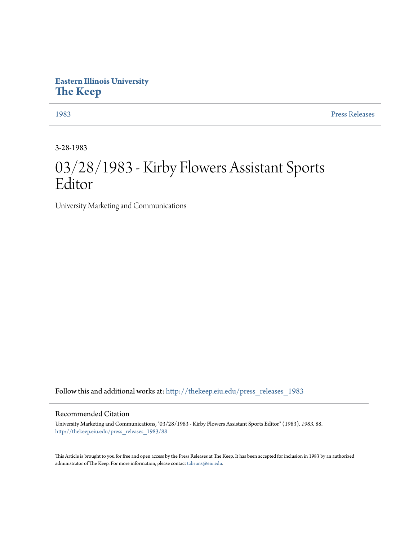## **Eastern Illinois University [The Keep](http://thekeep.eiu.edu?utm_source=thekeep.eiu.edu%2Fpress_releases_1983%2F88&utm_medium=PDF&utm_campaign=PDFCoverPages)**

[1983](http://thekeep.eiu.edu/press_releases_1983?utm_source=thekeep.eiu.edu%2Fpress_releases_1983%2F88&utm_medium=PDF&utm_campaign=PDFCoverPages) [Press Releases](http://thekeep.eiu.edu/press_releases_collection?utm_source=thekeep.eiu.edu%2Fpress_releases_1983%2F88&utm_medium=PDF&utm_campaign=PDFCoverPages)

3-28-1983

## 03/28/1983 - Kirby Flowers Assistant Sports Editor

University Marketing and Communications

Follow this and additional works at: [http://thekeep.eiu.edu/press\\_releases\\_1983](http://thekeep.eiu.edu/press_releases_1983?utm_source=thekeep.eiu.edu%2Fpress_releases_1983%2F88&utm_medium=PDF&utm_campaign=PDFCoverPages)

## Recommended Citation

University Marketing and Communications, "03/28/1983 - Kirby Flowers Assistant Sports Editor" (1983). *1983*. 88. [http://thekeep.eiu.edu/press\\_releases\\_1983/88](http://thekeep.eiu.edu/press_releases_1983/88?utm_source=thekeep.eiu.edu%2Fpress_releases_1983%2F88&utm_medium=PDF&utm_campaign=PDFCoverPages)

This Article is brought to you for free and open access by the Press Releases at The Keep. It has been accepted for inclusion in 1983 by an authorized administrator of The Keep. For more information, please contact [tabruns@eiu.edu.](mailto:tabruns@eiu.edu)